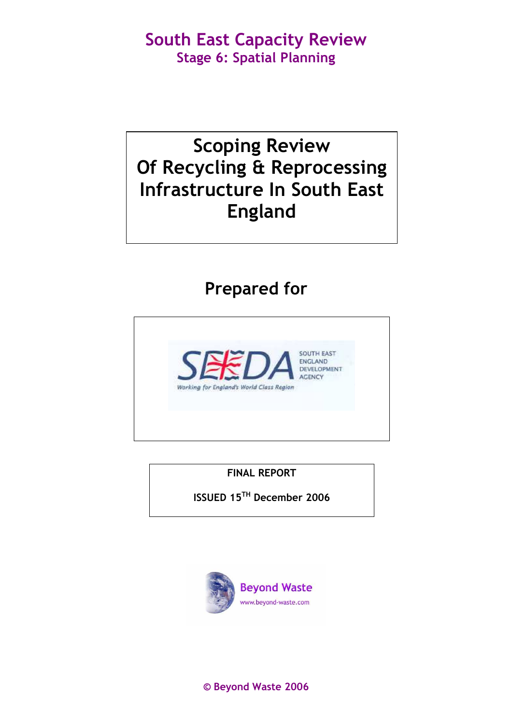# Scoping Review Of Recycling & Reprocessing Infrastructure In South East England

# Prepared for



FINAL REPORT

ISSUED 15TH December 2006



© Beyond Waste 2006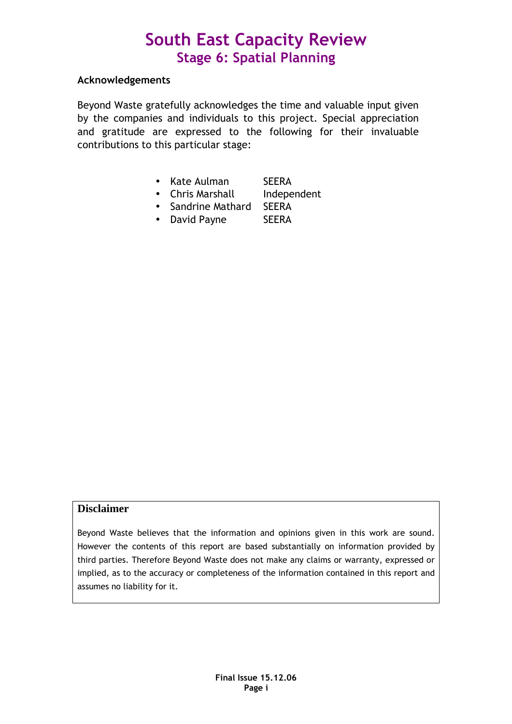### Acknowledgements

Beyond Waste gratefully acknowledges the time and valuable input given by the companies and individuals to this project. Special appreciation and gratitude are expressed to the following for their invaluable contributions to this particular stage:

- Kate Aulman SEERA
- Chris Marshall Independent
- Sandrine Mathard SEERA
- David Payne SEERA

### **Disclaimer**

Beyond Waste believes that the information and opinions given in this work are sound. However the contents of this report are based substantially on information provided by third parties. Therefore Beyond Waste does not make any claims or warranty, expressed or implied, as to the accuracy or completeness of the information contained in this report and assumes no liability for it.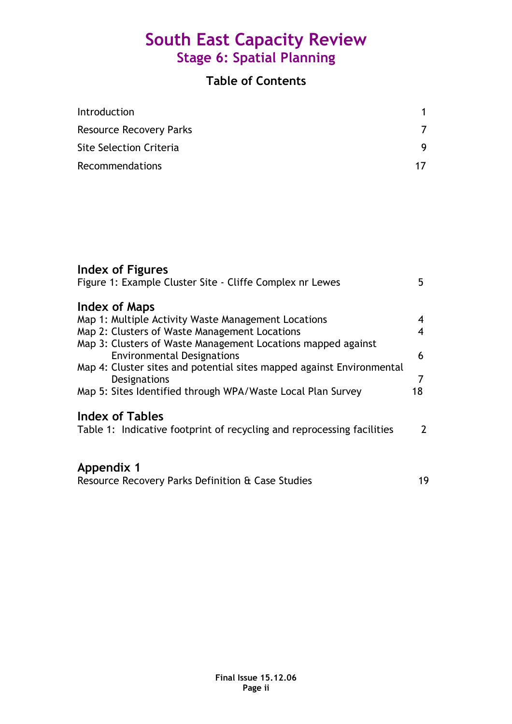## Table of Contents

| Introduction                   |  |
|--------------------------------|--|
| <b>Resource Recovery Parks</b> |  |
| Site Selection Criteria        |  |
| Recommendations                |  |

## Index of Figures

| Figure 1: Example Cluster Site - Cliffe Complex nr Lewes                                          | 5                       |
|---------------------------------------------------------------------------------------------------|-------------------------|
| <b>Index of Maps</b>                                                                              |                         |
| Map 1: Multiple Activity Waste Management Locations                                               | 4                       |
| Map 2: Clusters of Waste Management Locations                                                     | $\overline{\mathbf{4}}$ |
| Map 3: Clusters of Waste Management Locations mapped against<br><b>Environmental Designations</b> | 6                       |
| Map 4: Cluster sites and potential sites mapped against Environmental<br>Designations             | 7                       |
| Map 5: Sites Identified through WPA/Waste Local Plan Survey                                       | 18                      |
| <b>Index of Tables</b><br>Table 1: Indicative footprint of recycling and reprocessing facilities  | $\mathcal{P}$           |
|                                                                                                   |                         |
| Appendix 1                                                                                        |                         |
| Resource Recovery Parks Definition & Case Studies                                                 | 19                      |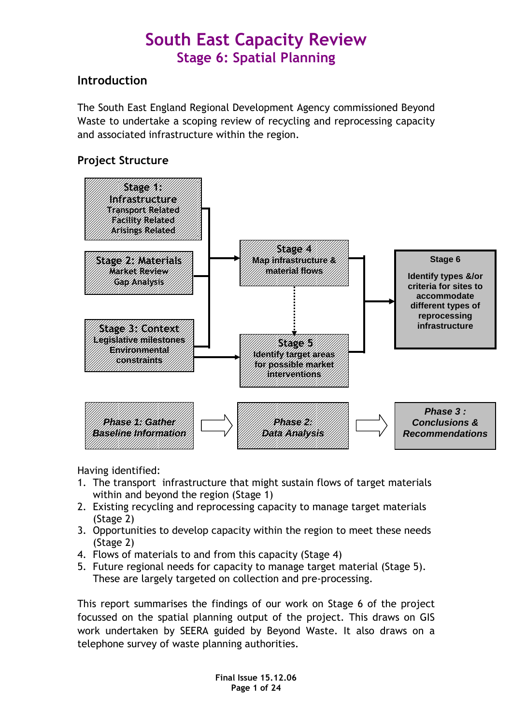## **Introduction**

The South East England Regional Development Agency commissioned Beyond Waste to undertake a scoping review of recycling and reprocessing capacity and associated infrastructure within the region.

## Project Structure



Having identified:

- 1. The transport infrastructure that might sustain flows of target materials within and beyond the region (Stage 1)
- 2. Existing recycling and reprocessing capacity to manage target materials (Stage 2)
- 3. Opportunities to develop capacity within the region to meet these needs (Stage 2)
- 4. Flows of materials to and from this capacity (Stage 4)
- 5. Future regional needs for capacity to manage target material (Stage 5). These are largely targeted on collection and pre-processing.

This report summarises the findings of our work on Stage 6 of the project focussed on the spatial planning output of the project. This draws on GIS work undertaken by SEERA guided by Beyond Waste. It also draws on a telephone survey of waste planning authorities.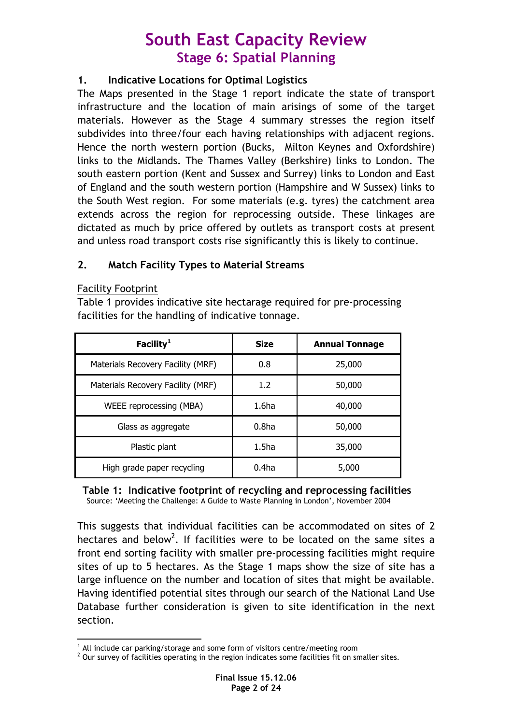### 1. Indicative Locations for Optimal Logistics

The Maps presented in the Stage 1 report indicate the state of transport infrastructure and the location of main arisings of some of the target materials. However as the Stage 4 summary stresses the region itself subdivides into three/four each having relationships with adjacent regions. Hence the north western portion (Bucks, Milton Keynes and Oxfordshire) links to the Midlands. The Thames Valley (Berkshire) links to London. The south eastern portion (Kent and Sussex and Surrey) links to London and East of England and the south western portion (Hampshire and W Sussex) links to the South West region. For some materials (e.g. tyres) the catchment area extends across the region for reprocessing outside. These linkages are dictated as much by price offered by outlets as transport costs at present and unless road transport costs rise significantly this is likely to continue.

## 2. Match Facility Types to Material Streams

### Facility Footprint

Table 1 provides indicative site hectarage required for pre-processing facilities for the handling of indicative tonnage.

| Facility <sup>1</sup>             | <b>Size</b>       | <b>Annual Tonnage</b> |
|-----------------------------------|-------------------|-----------------------|
| Materials Recovery Facility (MRF) | 0.8               | 25,000                |
| Materials Recovery Facility (MRF) | 1.2               | 50,000                |
| WEEE reprocessing (MBA)           | 1.6ha             | 40,000                |
| Glass as aggregate                | 0.8 <sub>ha</sub> | 50,000                |
| Plastic plant                     | 1.5 <sub>ha</sub> | 35,000                |
| High grade paper recycling        | 0.4 <sub>ha</sub> | 5,000                 |

### Table 1: Indicative footprint of recycling and reprocessing facilities Source: 'Meeting the Challenge: A Guide to Waste Planning in London', November 2004

This suggests that individual facilities can be accommodated on sites of 2 hectares and below<sup>2</sup>. If facilities were to be located on the same sites a front end sorting facility with smaller pre-processing facilities might require sites of up to 5 hectares. As the Stage 1 maps show the size of site has a large influence on the number and location of sites that might be available. Having identified potential sites through our search of the National Land Use Database further consideration is given to site identification in the next section.

 $\overline{a}$ <sup>1</sup> All include car parking/storage and some form of visitors centre/meeting room

 $2$  Our survey of facilities operating in the region indicates some facilities fit on smaller sites.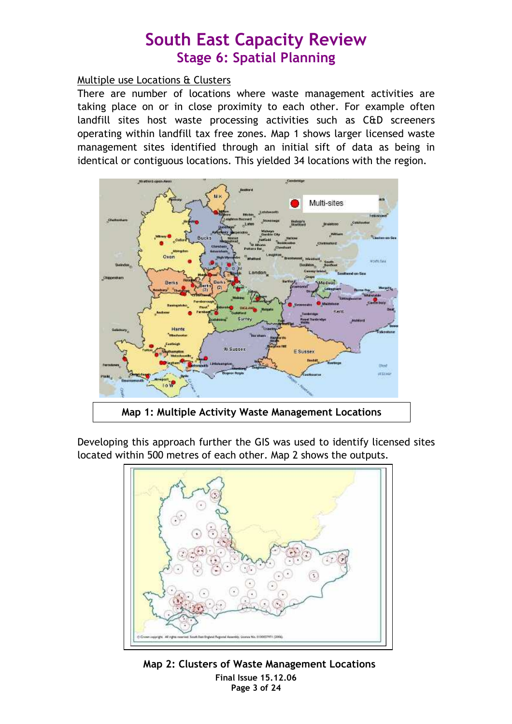### Multiple use Locations & Clusters

There are number of locations where waste management activities are taking place on or in close proximity to each other. For example often landfill sites host waste processing activities such as C&D screeners operating within landfill tax free zones. Map 1 shows larger licensed waste management sites identified through an initial sift of data as being in identical or contiguous locations. This yielded 34 locations with the region.



Developing this approach further the GIS was used to identify licensed sites located within 500 metres of each other. Map 2 shows the outputs.



Final Issue 15.12.06 Page 3 of 24 Map 2: Clusters of Waste Management Locations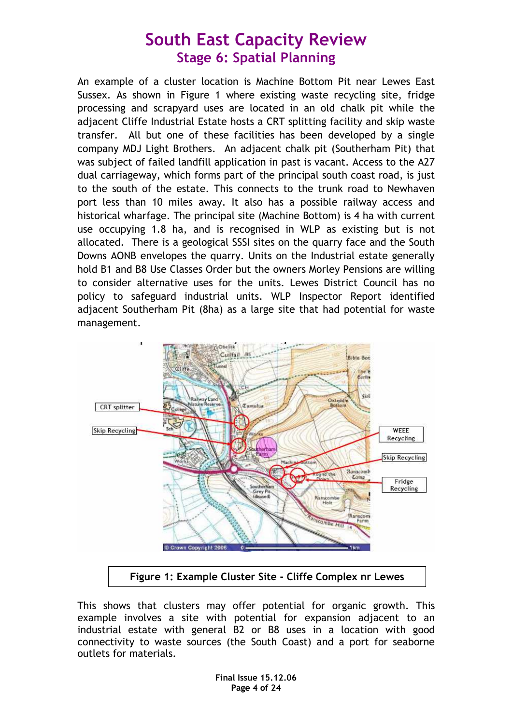An example of a cluster location is Machine Bottom Pit near Lewes East Sussex. As shown in Figure 1 where existing waste recycling site, fridge processing and scrapyard uses are located in an old chalk pit while the adjacent Cliffe Industrial Estate hosts a CRT splitting facility and skip waste transfer. All but one of these facilities has been developed by a single company MDJ Light Brothers. An adjacent chalk pit (Southerham Pit) that was subject of failed landfill application in past is vacant. Access to the A27 dual carriageway, which forms part of the principal south coast road, is just to the south of the estate. This connects to the trunk road to Newhaven port less than 10 miles away. It also has a possible railway access and historical wharfage. The principal site (Machine Bottom) is 4 ha with current use occupying 1.8 ha, and is recognised in WLP as existing but is not allocated. There is a geological SSSI sites on the quarry face and the South Downs AONB envelopes the quarry. Units on the Industrial estate generally hold B1 and B8 Use Classes Order but the owners Morley Pensions are willing to consider alternative uses for the units. Lewes District Council has no policy to safeguard industrial units. WLP Inspector Report identified adjacent Southerham Pit (8ha) as a large site that had potential for waste management.



Figure 1: Example Cluster Site - Cliffe Complex nr Lewes

This shows that clusters may offer potential for organic growth. This example involves a site with potential for expansion adjacent to an industrial estate with general B2 or B8 uses in a location with good connectivity to waste sources (the South Coast) and a port for seaborne outlets for materials.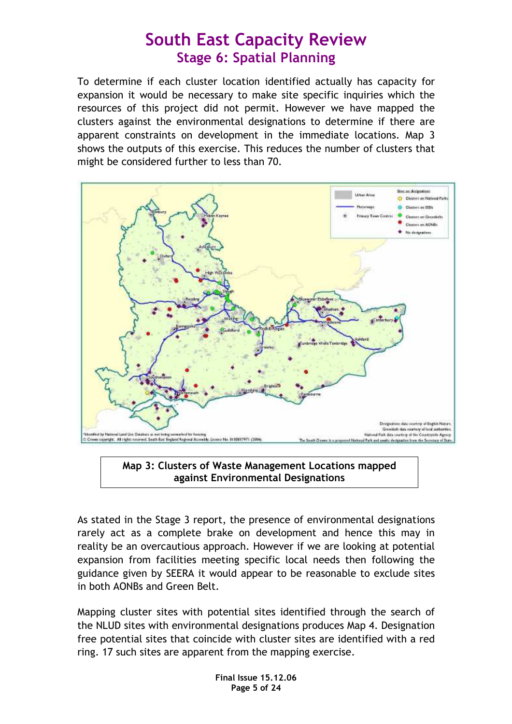To determine if each cluster location identified actually has capacity for expansion it would be necessary to make site specific inquiries which the resources of this project did not permit. However we have mapped the clusters against the environmental designations to determine if there are apparent constraints on development in the immediate locations. Map 3 shows the outputs of this exercise. This reduces the number of clusters that might be considered further to less than 70.



Map 3: Clusters of Waste Management Locations mapped against Environmental Designations

As stated in the Stage 3 report, the presence of environmental designations rarely act as a complete brake on development and hence this may in reality be an overcautious approach. However if we are looking at potential expansion from facilities meeting specific local needs then following the guidance given by SEERA it would appear to be reasonable to exclude sites in both AONBs and Green Belt.

Mapping cluster sites with potential sites identified through the search of the NLUD sites with environmental designations produces Map 4. Designation free potential sites that coincide with cluster sites are identified with a red ring. 17 such sites are apparent from the mapping exercise.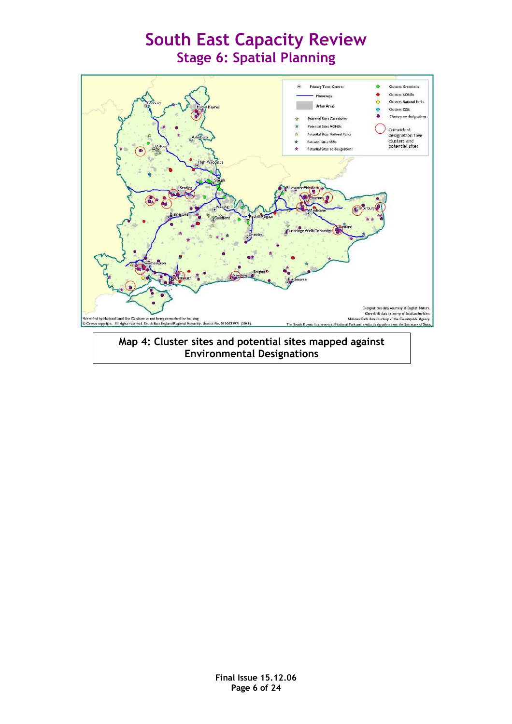

### Environmental Designations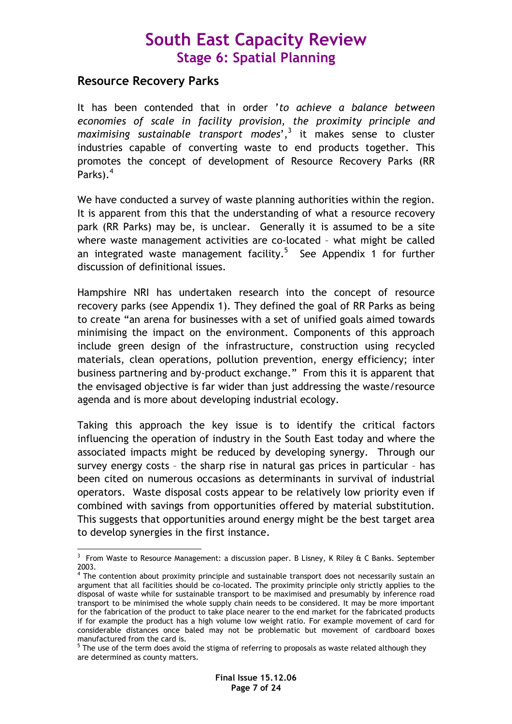## Resource Recovery Parks

It has been contended that in order 'to achieve a balance between economies of scale in facility provision, the proximity principle and maximising sustainable transport modes', $^3$  it makes sense to cluster industries capable of converting waste to end products together. This promotes the concept of development of Resource Recovery Parks (RR Parks). $^4$ 

We have conducted a survey of waste planning authorities within the region. It is apparent from this that the understanding of what a resource recovery park (RR Parks) may be, is unclear. Generally it is assumed to be a site where waste management activities are co-located – what might be called an integrated waste management facility.<sup>5</sup> See Appendix 1 for further discussion of definitional issues.

Hampshire NRI has undertaken research into the concept of resource recovery parks (see Appendix 1). They defined the goal of RR Parks as being to create "an arena for businesses with a set of unified goals aimed towards minimising the impact on the environment. Components of this approach include green design of the infrastructure, construction using recycled materials, clean operations, pollution prevention, energy efficiency; inter business partnering and by-product exchange." From this it is apparent that the envisaged objective is far wider than just addressing the waste/resource agenda and is more about developing industrial ecology.

Taking this approach the key issue is to identify the critical factors influencing the operation of industry in the South East today and where the associated impacts might be reduced by developing synergy. Through our survey energy costs – the sharp rise in natural gas prices in particular – has been cited on numerous occasions as determinants in survival of industrial operators. Waste disposal costs appear to be relatively low priority even if combined with savings from opportunities offered by material substitution. This suggests that opportunities around energy might be the best target area to develop synergies in the first instance.

 $\overline{a}$  $3$  From Waste to Resource Management: a discussion paper. B Lisney, K Riley & C Banks. September 2003.

<sup>&</sup>lt;sup>4</sup> The contention about proximity principle and sustainable transport does not necessarily sustain an argument that all facilities should be co-located. The proximity principle only strictly applies to the disposal of waste while for sustainable transport to be maximised and presumably by inference road transport to be minimised the whole supply chain needs to be considered. It may be more important for the fabrication of the product to take place nearer to the end market for the fabricated products if for example the product has a high volume low weight ratio. For example movement of card for considerable distances once baled may not be problematic but movement of cardboard boxes manufactured from the card is.

 $^5$  The use of the term does avoid the stigma of referring to proposals as waste related although they are determined as county matters.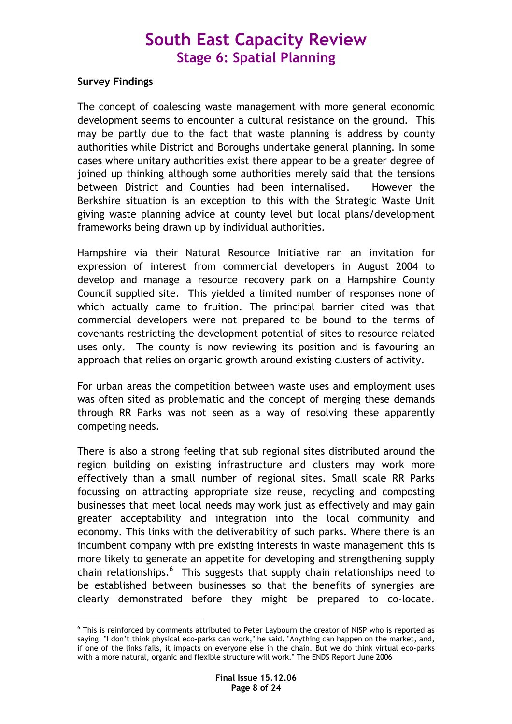### Survey Findings

The concept of coalescing waste management with more general economic development seems to encounter a cultural resistance on the ground. This may be partly due to the fact that waste planning is address by county authorities while District and Boroughs undertake general planning. In some cases where unitary authorities exist there appear to be a greater degree of joined up thinking although some authorities merely said that the tensions between District and Counties had been internalised. However the Berkshire situation is an exception to this with the Strategic Waste Unit giving waste planning advice at county level but local plans/development frameworks being drawn up by individual authorities.

Hampshire via their Natural Resource Initiative ran an invitation for expression of interest from commercial developers in August 2004 to develop and manage a resource recovery park on a Hampshire County Council supplied site. This yielded a limited number of responses none of which actually came to fruition. The principal barrier cited was that commercial developers were not prepared to be bound to the terms of covenants restricting the development potential of sites to resource related uses only. The county is now reviewing its position and is favouring an approach that relies on organic growth around existing clusters of activity.

For urban areas the competition between waste uses and employment uses was often sited as problematic and the concept of merging these demands through RR Parks was not seen as a way of resolving these apparently competing needs.

There is also a strong feeling that sub regional sites distributed around the region building on existing infrastructure and clusters may work more effectively than a small number of regional sites. Small scale RR Parks focussing on attracting appropriate size reuse, recycling and composting businesses that meet local needs may work just as effectively and may gain greater acceptability and integration into the local community and economy. This links with the deliverability of such parks. Where there is an incumbent company with pre existing interests in waste management this is more likely to generate an appetite for developing and strengthening supply chain relationships.<sup>6</sup> This suggests that supply chain relationships need to be established between businesses so that the benefits of synergies are clearly demonstrated before they might be prepared to co-locate.

 6 This is reinforced by comments attributed to Peter Laybourn the creator of NISP who is reported as saying. "I don't think physical eco-parks can work," he said. "Anything can happen on the market, and, if one of the links fails, it impacts on everyone else in the chain. But we do think virtual eco-parks with a more natural, organic and flexible structure will work." The ENDS Report June 2006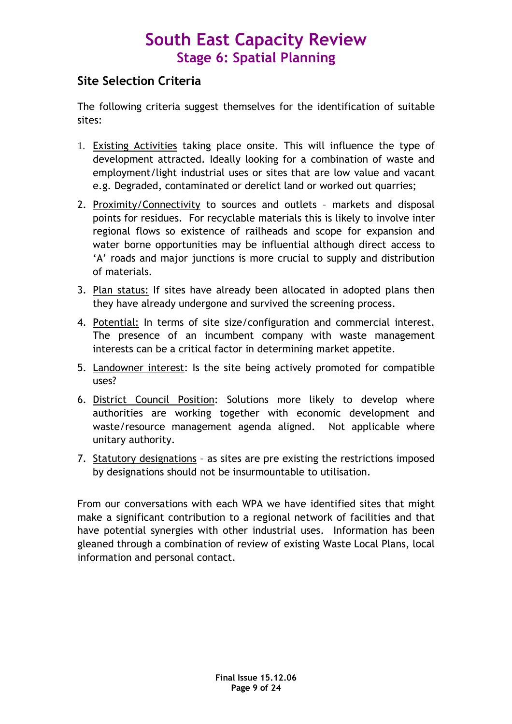## Site Selection Criteria

The following criteria suggest themselves for the identification of suitable sites:

- 1. Existing Activities taking place onsite. This will influence the type of development attracted. Ideally looking for a combination of waste and employment/light industrial uses or sites that are low value and vacant e.g. Degraded, contaminated or derelict land or worked out quarries;
- 2. Proximity/Connectivity to sources and outlets markets and disposal points for residues. For recyclable materials this is likely to involve inter regional flows so existence of railheads and scope for expansion and water borne opportunities may be influential although direct access to 'A' roads and major junctions is more crucial to supply and distribution of materials.
- 3. Plan status: If sites have already been allocated in adopted plans then they have already undergone and survived the screening process.
- 4. Potential: In terms of site size/configuration and commercial interest. The presence of an incumbent company with waste management interests can be a critical factor in determining market appetite.
- 5. Landowner interest: Is the site being actively promoted for compatible uses?
- 6. District Council Position: Solutions more likely to develop where authorities are working together with economic development and waste/resource management agenda aligned. Not applicable where unitary authority.
- 7. Statutory designations as sites are pre existing the restrictions imposed by designations should not be insurmountable to utilisation.

From our conversations with each WPA we have identified sites that might make a significant contribution to a regional network of facilities and that have potential synergies with other industrial uses. Information has been gleaned through a combination of review of existing Waste Local Plans, local information and personal contact.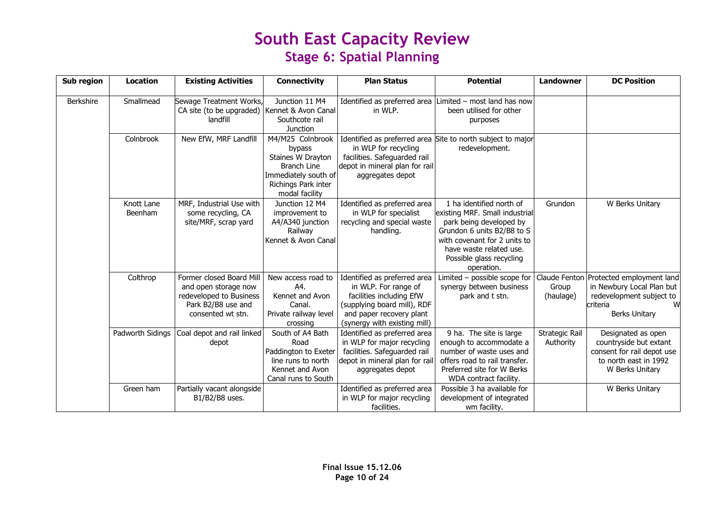| Sub region       | <b>Location</b>       | <b>Existing Activities</b>                                                                                             | <b>Connectivity</b>                                                                                                                    | <b>Plan Status</b>                                                                                                                                                          | <b>Potential</b>                                                                                                                                                                                                         | Landowner                   | <b>DC Position</b>                                                                                                                        |
|------------------|-----------------------|------------------------------------------------------------------------------------------------------------------------|----------------------------------------------------------------------------------------------------------------------------------------|-----------------------------------------------------------------------------------------------------------------------------------------------------------------------------|--------------------------------------------------------------------------------------------------------------------------------------------------------------------------------------------------------------------------|-----------------------------|-------------------------------------------------------------------------------------------------------------------------------------------|
| <b>Berkshire</b> | Smallmead             | Sewage Treatment Works,<br>CA site (to be upgraded)   Kennet & Avon Canal<br>landfill                                  | Junction 11 M4<br>Southcote rail<br><b>Junction</b>                                                                                    | in WLP.                                                                                                                                                                     | Identified as preferred area Limited – most land has now<br>been utilised for other<br>purposes                                                                                                                          |                             |                                                                                                                                           |
|                  | Colnbrook             | New EfW, MRF Landfill                                                                                                  | M4/M25 Colnbrook<br>bypass<br>Staines W Drayton<br><b>Branch Line</b><br>Immediately south of<br>Richings Park inter<br>modal facility | in WLP for recycling<br>facilities. Safeguarded rail<br>depot in mineral plan for rail<br>aggregates depot                                                                  | Identified as preferred area Site to north subject to major<br>redevelopment.                                                                                                                                            |                             |                                                                                                                                           |
|                  | Knott Lane<br>Beenham | MRF, Industrial Use with<br>some recycling, CA<br>site/MRF, scrap yard                                                 | Junction 12 M4<br>improvement to<br>A4/A340 junction<br>Railway<br>Kennet & Avon Canal                                                 | Identified as preferred area<br>in WLP for specialist<br>recycling and special waste<br>handling.                                                                           | 1 ha identified north of<br>existing MRF. Small industrial<br>park being developed by<br>Grundon 6 units B2/B8 to S<br>with covenant for 2 units to<br>have waste related use.<br>Possible glass recycling<br>operation. | Grundon                     | W Berks Unitary                                                                                                                           |
|                  | Colthrop              | Former closed Board Mill<br>and open storage now<br>redeveloped to Business<br>Park B2/B8 use and<br>consented wt stn. | New access road to<br>A4.<br>Kennet and Avon<br>Canal.<br>Private railway level<br>crossing                                            | Identified as preferred area<br>in WLP. For range of<br>facilities including EfW<br>(supplying board mill), RDF<br>and paper recovery plant<br>(synergy with existing mill) | Limited $-$ possible scope for<br>synergy between business<br>park and t stn.                                                                                                                                            | Group<br>(haulage)          | Claude Fenton Protected employment land<br>in Newbury Local Plan but<br>redevelopment subject to<br>criteria<br>W<br><b>Berks Unitary</b> |
|                  | Padworth Sidings      | Coal depot and rail linked<br>depot                                                                                    | South of A4 Bath<br>Road<br>Paddington to Exeter<br>line runs to north<br>Kennet and Avon<br>Canal runs to South                       | Identified as preferred area<br>in WLP for major recycling<br>facilities. Safeguarded rail<br>depot in mineral plan for rai<br>aggregates depot                             | 9 ha. The site is large<br>enough to accommodate a<br>number of waste uses and<br>offers road to rail transfer.<br>Preferred site for W Berks<br>WDA contract facility.                                                  | Strategic Rail<br>Authority | Designated as open<br>countryside but extant<br>consent for rail depot use<br>to north east in 1992<br>W Berks Unitary                    |
|                  | Green ham             | Partially vacant alongside<br>B1/B2/B8 uses.                                                                           |                                                                                                                                        | Identified as preferred area<br>in WLP for major recycling<br>facilities.                                                                                                   | Possible 3 ha available for<br>development of integrated<br>wm facility.                                                                                                                                                 |                             | W Berks Unitary                                                                                                                           |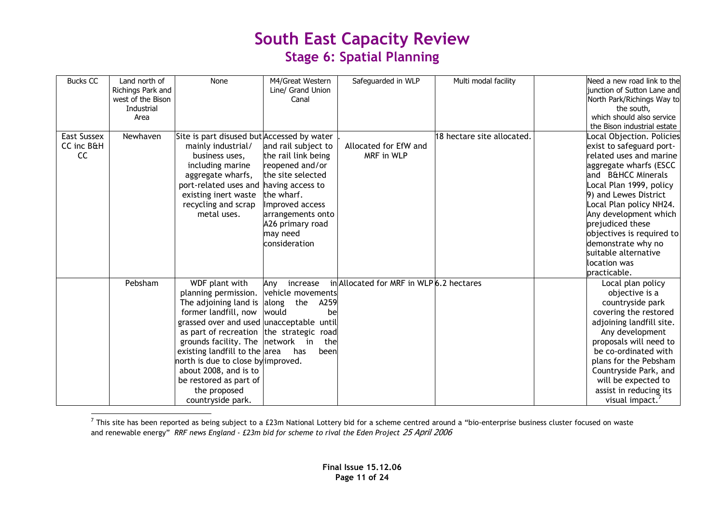| <b>Bucks CC</b>                 | Land north of<br>Richings Park and<br>west of the Bison<br>Industrial | None                                                                                                                                                                                                                                                                                                                                                                                             | M4/Great Western<br>Line/ Grand Union<br>Canal                                                                                                                                            | Safeguarded in WLP                       | Multi modal facility       | Need a new road link to the<br>junction of Sutton Lane and<br>North Park/Richings Way to<br>the south,                                                                                                                                                                                                                                                                  |
|---------------------------------|-----------------------------------------------------------------------|--------------------------------------------------------------------------------------------------------------------------------------------------------------------------------------------------------------------------------------------------------------------------------------------------------------------------------------------------------------------------------------------------|-------------------------------------------------------------------------------------------------------------------------------------------------------------------------------------------|------------------------------------------|----------------------------|-------------------------------------------------------------------------------------------------------------------------------------------------------------------------------------------------------------------------------------------------------------------------------------------------------------------------------------------------------------------------|
|                                 | Area                                                                  |                                                                                                                                                                                                                                                                                                                                                                                                  |                                                                                                                                                                                           |                                          |                            | which should also service<br>the Bison industrial estate                                                                                                                                                                                                                                                                                                                |
| East Sussex<br>CC inc B&H<br>CC | Newhaven                                                              | Site is part disused but Accessed by water<br>mainly industrial/<br>business uses,<br>including marine<br>aggregate wharfs,<br>port-related uses and having access to<br>existing inert waste<br>recycling and scrap<br>metal uses.                                                                                                                                                              | and rail subject to<br>the rail link being<br>reopened and/or<br>the site selected<br>the wharf.<br>Improved access<br>arrangements onto<br>A26 primary road<br>may need<br>consideration | Allocated for EfW and<br>MRF in WLP      | 18 hectare site allocated. | Local Objection. Policies<br>exist to safeguard port-<br>related uses and marine<br>aggregate wharfs (ESCC<br>and B&HCC Minerals<br>Local Plan 1999, policy<br>9) and Lewes District<br>Local Plan policy NH24.<br>Any development which<br>prejudiced these<br>objectives is required to<br>demonstrate why no<br>suitable alternative<br>location was<br>practicable. |
|                                 | Pebsham                                                               | WDF plant with<br>planning permission.<br>The adjoining land is $\vert$ along<br>former landfill, now<br>grassed over and used unacceptable until<br>as part of recreation the strategic road<br>grounds facility. The network in<br>existing landfill to the area<br>north is due to close by improved.<br>about 2008, and is to<br>be restored as part of<br>the proposed<br>countryside park. | Any<br>increase<br>vehicle movements<br>the<br>A259<br>lwould<br>bel<br>thel<br>has<br>been                                                                                               | in Allocated for MRF in WLP 6.2 hectares |                            | Local plan policy<br>objective is a<br>countryside park<br>covering the restored<br>adjoining landfill site.<br>Any development<br>proposals will need to<br>be co-ordinated with<br>plans for the Pebsham<br>Countryside Park, and<br>will be expected to<br>assist in reducing its<br>visual impact.                                                                  |

 $^7$  This site has been reported as being subject to a £23m National Lottery bid for a scheme centred around a "bio-enterprise business cluster focused on waste and renewable energy" RRF news England - £23m bid for scheme to rival the Eden Project 25 April 2006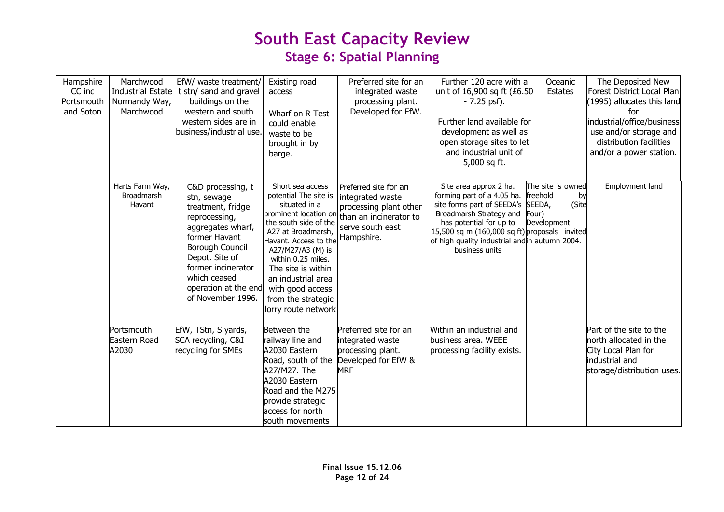| Hampshire<br>CC inc<br>Portsmouth<br>and Soton | Marchwood<br>Normandy Way,<br>Marchwood    | EfW/ waste treatment/<br>Industrial Estate   t stn/ sand and gravel<br>buildings on the<br>western and south<br>western sides are in<br>business/industrial use.                                                                     | Existing road<br>access<br>Wharf on R Test<br>could enable<br>waste to be<br>brought in by<br>barge.                                                                                                                                                                                                                | Preferred site for an<br>integrated waste<br>processing plant.<br>Developed for EfW.                                            | Further 120 acre with a<br>unit of 16,900 sq ft (£6.50<br>$-7.25$ psf).<br>Further land available for<br>development as well as<br>open storage sites to let<br>and industrial unit of<br>5,000 sq ft.                                                               | Oceanic<br>Estates                                                   | The Deposited New<br>Forest District Local Plan<br>(1995) allocates this land<br>for<br>industrial/office/business<br>use and/or storage and<br>distribution facilities<br>and/or a power station. |
|------------------------------------------------|--------------------------------------------|--------------------------------------------------------------------------------------------------------------------------------------------------------------------------------------------------------------------------------------|---------------------------------------------------------------------------------------------------------------------------------------------------------------------------------------------------------------------------------------------------------------------------------------------------------------------|---------------------------------------------------------------------------------------------------------------------------------|----------------------------------------------------------------------------------------------------------------------------------------------------------------------------------------------------------------------------------------------------------------------|----------------------------------------------------------------------|----------------------------------------------------------------------------------------------------------------------------------------------------------------------------------------------------|
|                                                | Harts Farm Way,<br>Broadmarsh<br>Havant    | C&D processing, t<br>stn, sewage<br>treatment, fridge<br>reprocessing,<br>aggregates wharf,<br>former Havant<br>Borough Council<br>Depot. Site of<br>former incinerator<br>which ceased<br>operation at the end<br>of November 1996. | Short sea access<br>potential The site is<br>situated in a<br>prominent location or<br>the south side of the<br>A27 at Broadmarsh,<br>Havant. Access to the<br>A27/M27/A3 (M) is<br>within 0.25 miles.<br>The site is within<br>an industrial area<br>with good access<br>from the strategic<br>lorry route network | Preferred site for an<br>integrated waste<br>processing plant other<br>than an incinerator to<br>serve south east<br>Hampshire. | Site area approx 2 ha.<br>forming part of a 4.05 ha.<br>site forms part of SEEDA's SEEDA,<br>Broadmarsh Strategy and<br>has potential for up to<br>15,500 sq m (160,000 sq ft) proposals invited<br>of high quality industrial and in autumn 2004.<br>business units | The site is owned<br>freehold<br>by<br>(Site<br>Four)<br>Development | Employment land                                                                                                                                                                                    |
|                                                | <b>Portsmouth</b><br>Eastern Road<br>A2030 | EfW, TStn, S yards,<br>SCA recycling, C&I<br>recycling for SMEs                                                                                                                                                                      | Between the<br>railway line and<br>A2030 Eastern<br>Road, south of the<br>A27/M27. The<br>A2030 Eastern<br>Road and the M275<br>provide strategic<br>access for north<br>south movements                                                                                                                            | Preferred site for an<br>integrated waste<br>processing plant.<br>Developed for EfW &<br><b>MRF</b>                             | Within an industrial and<br>business area. WEEE<br>processing facility exists.                                                                                                                                                                                       |                                                                      | Part of the site to the<br>north allocated in the<br>City Local Plan for<br>industrial and<br>storage/distribution uses.                                                                           |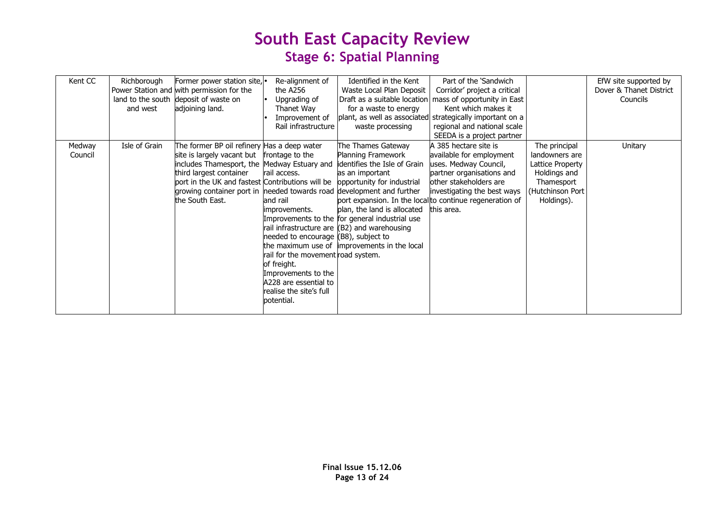| Kent CC           | Richborough<br>land to the south<br>and west | Former power station site, .<br>Power Station and with permission for the<br>deposit of waste on<br>adjoining land.                                                                                                                                                                                   | Re-alignment of<br>the A256<br>Upgrading of<br>Thanet Way<br>Improvement of<br>Rail infrastructure                                                                                                                                                 | Identified in the Kent<br>Waste Local Plan Deposit<br>for a waste to energy<br>waste processing                                                                                                                                                                                                            | Part of the 'Sandwich<br>Corridor' project a critical<br>Draft as a suitable location   mass of opportunity in East<br>Kent which makes it<br>plant, as well as associated strategically important on a<br>regional and national scale<br>SEEDA is a project partner |                                                                                                                      | EfW site supported by<br>Dover & Thanet District<br>Councils |
|-------------------|----------------------------------------------|-------------------------------------------------------------------------------------------------------------------------------------------------------------------------------------------------------------------------------------------------------------------------------------------------------|----------------------------------------------------------------------------------------------------------------------------------------------------------------------------------------------------------------------------------------------------|------------------------------------------------------------------------------------------------------------------------------------------------------------------------------------------------------------------------------------------------------------------------------------------------------------|----------------------------------------------------------------------------------------------------------------------------------------------------------------------------------------------------------------------------------------------------------------------|----------------------------------------------------------------------------------------------------------------------|--------------------------------------------------------------|
| Medway<br>Council | Isle of Grain                                | The former BP oil refinery Has a deep water<br>site is largely vacant but<br>includes Thamesport, the Medway Estuary and<br>third largest container<br>port in the UK and fastest Contributions will be<br>growing container port in  needed towards road  development and further<br>the South East. | frontage to the<br>rail access.<br>and rail<br>improvements.<br>needed to encourage (B8), subject to<br>rail for the movement road system.<br>of freight.<br>Improvements to the<br>A228 are essential to<br>realise the site's full<br>potential. | The Thames Gateway<br>Planning Framework<br>identifies the Isle of Grain<br>as an important<br>opportunity for industrial<br>plan, the land is allocated<br>Improvements to the for general industrial use<br>rail infrastructure are (B2) and warehousing<br>the maximum use of improvements in the local | A 385 hectare site is<br>available for employment<br>uses. Medway Council,<br>partner organisations and<br>other stakeholders are<br>investigating the best ways<br>port expansion. In the local to continue regeneration of<br>this area.                           | The principal<br>landowners are<br>Lattice Property<br>Holdings and<br>Thamesport<br>(Hutchinson Port)<br>Holdings). | Unitary                                                      |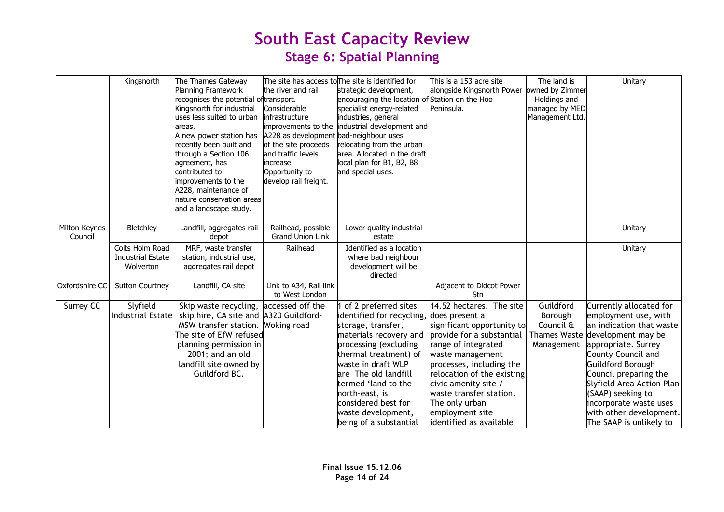|                          | Kingsnorth                                               | The Thames Gateway<br>Planning Framework<br>recognises the potential oftransport.<br>Kingsnorth for industrial<br>uses less suited to urban<br>areas.<br>A new power station has<br>recently been built and<br>through a Section 106<br>agreement, has<br>contributed to<br>improvements to the<br>A228, maintenance of<br>nature conservation areas<br>and a landscape study. | the river and rail<br>Considerable<br>infrastructure<br>improvements to the<br>A228 as development bad-neighbour uses<br>of the site proceeds<br>and traffic levels<br>increase.<br>Opportunity to<br>develop rail freight. | The site has access to The site is identified for<br>strategic development,<br>encouraging the location of Station on the Hoo<br>specialist energy-related<br>industries, general<br>industrial development and<br>relocating from the urban<br>area. Allocated in the draft<br>local plan for B1, B2, B8<br>and special uses.   | This is a 153 acre site<br>alongside Kingsnorth Power owned by Zimmer<br>Peninsula.                                                                                                                                                                                                                        | The land is<br>Holdings and<br>managed by MED<br>Management Ltd.       | Unitary                                                                                                                                                                                                                                                                                                                               |
|--------------------------|----------------------------------------------------------|--------------------------------------------------------------------------------------------------------------------------------------------------------------------------------------------------------------------------------------------------------------------------------------------------------------------------------------------------------------------------------|-----------------------------------------------------------------------------------------------------------------------------------------------------------------------------------------------------------------------------|----------------------------------------------------------------------------------------------------------------------------------------------------------------------------------------------------------------------------------------------------------------------------------------------------------------------------------|------------------------------------------------------------------------------------------------------------------------------------------------------------------------------------------------------------------------------------------------------------------------------------------------------------|------------------------------------------------------------------------|---------------------------------------------------------------------------------------------------------------------------------------------------------------------------------------------------------------------------------------------------------------------------------------------------------------------------------------|
| Milton Keynes<br>Council | Bletchley                                                | Landfill, aggregates rail<br>depot                                                                                                                                                                                                                                                                                                                                             | Railhead, possible<br><b>Grand Union Link</b>                                                                                                                                                                               | Lower quality industrial<br>estate                                                                                                                                                                                                                                                                                               |                                                                                                                                                                                                                                                                                                            |                                                                        | Unitary                                                                                                                                                                                                                                                                                                                               |
|                          | Colts Holm Road<br><b>Industrial Estate</b><br>Wolverton | MRF, waste transfer<br>station, industrial use,<br>aggregates rail depot                                                                                                                                                                                                                                                                                                       | Railhead                                                                                                                                                                                                                    | Identified as a location<br>where bad neighbour<br>development will be<br>directed                                                                                                                                                                                                                                               |                                                                                                                                                                                                                                                                                                            |                                                                        | Unitary                                                                                                                                                                                                                                                                                                                               |
| Oxfordshire CC           | <b>Sutton Courtney</b>                                   | Landfill, CA site                                                                                                                                                                                                                                                                                                                                                              | Link to A34, Rail link<br>to West London                                                                                                                                                                                    |                                                                                                                                                                                                                                                                                                                                  | Adjacent to Didcot Power<br>Stn                                                                                                                                                                                                                                                                            |                                                                        |                                                                                                                                                                                                                                                                                                                                       |
| Surrey CC                | Slyfield<br><b>Industrial Estate</b>                     | Skip waste recycling,<br>skip hire, CA site and A320 Guildford-<br>MSW transfer station. Woking road<br>The site of EfW refused<br>planning permission in<br>2001; and an old<br>landfill site owned by<br>Guildford BC.                                                                                                                                                       | accessed off the                                                                                                                                                                                                            | of 2 preferred sites<br>identified for recycling, does present a<br>storage, transfer,<br>materials recovery and<br>processing (excluding<br>thermal treatment) of<br>waste in draft WLP<br>are The old landfill<br>termed 'land to the<br>north-east, is<br>considered best for<br>waste development,<br>being of a substantial | 14.52 hectares. The site<br>significant opportunity to<br>provide for a substantial<br>ange of integrated<br>waste management<br>processes, including the<br>relocation of the existing<br>civic amenity site /<br>waste transfer station.<br>The only urban<br>employment site<br>identified as available | Guildford<br>Borough<br>Council &<br><b>Thames Waste</b><br>Management | Currently allocated for<br>employment use, with<br>an indication that waste<br>development may be<br>appropriate. Surrey<br>County Council and<br><b>Guildford Borough</b><br>Council preparing the<br>Slyfield Area Action Plan<br>(SAAP) seeking to<br>incorporate waste uses<br>with other development.<br>The SAAP is unlikely to |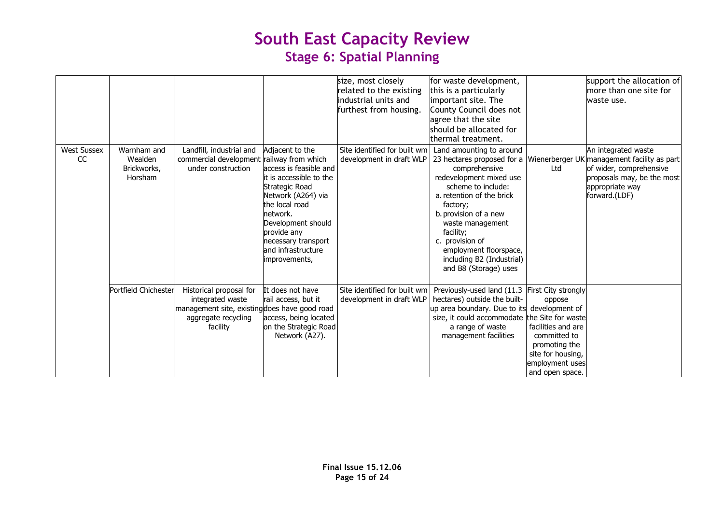|                          |                                                  |                                                                                                                                 |                                                                                                                                                                                                                                               | size, most closely<br>related to the existing<br>industrial units and<br>furthest from housing. | for waste development,<br>this is a particularly<br>important site. The<br>County Council does not<br>agree that the site<br>should be allocated for<br>thermal treatment.                                                                                                                                                        |                                                                                                                                            | support the allocation of<br>more than one site for<br>waste use.                                                                                               |
|--------------------------|--------------------------------------------------|---------------------------------------------------------------------------------------------------------------------------------|-----------------------------------------------------------------------------------------------------------------------------------------------------------------------------------------------------------------------------------------------|-------------------------------------------------------------------------------------------------|-----------------------------------------------------------------------------------------------------------------------------------------------------------------------------------------------------------------------------------------------------------------------------------------------------------------------------------|--------------------------------------------------------------------------------------------------------------------------------------------|-----------------------------------------------------------------------------------------------------------------------------------------------------------------|
| <b>West Sussex</b><br>CC | Warnham and<br>Wealden<br>Brickworks,<br>Horsham | Landfill, industrial and<br>commercial development railway from which<br>under construction                                     | Adjacent to the<br>access is feasible and<br>it is accessible to the<br>Strategic Road<br>Network (A264) via<br>the local road<br>network.<br>Development should<br>provide any<br>necessary transport<br>and infrastructure<br>improvements, | Site identified for built wm<br>development in draft WLP                                        | Land amounting to around<br>23 hectares proposed for a<br>comprehensive<br>redevelopment mixed use<br>scheme to include:<br>a. retention of the brick<br>factory;<br>b. provision of a new<br>waste management<br>facility;<br>provision of<br>c.<br>employment floorspace,<br>including B2 (Industrial)<br>and B8 (Storage) uses | Ltd                                                                                                                                        | An integrated waste<br>Wienerberger UK management facility as part<br>of wider, comprehensive<br>proposals may, be the most<br>appropriate way<br>forward.(LDF) |
|                          | Portfield Chichester                             | Historical proposal for<br>integrated waste<br>management site, existing does have good road<br>aggregate recycling<br>facility | It does not have<br>rail access, but it<br>access, being located<br>on the Strategic Road<br>Network (A27).                                                                                                                                   | Site identified for built wm<br>development in draft WLP                                        | Previously-used land (11.3 First City strongly<br>hectares) outside the built-<br>up area boundary. Due to its<br>size, it could accommodate the Site for waste<br>a range of waste<br>management facilities                                                                                                                      | oppose<br>development of<br>facilities and are<br>committed to<br>promoting the<br>site for housing,<br>employment uses<br>and open space. |                                                                                                                                                                 |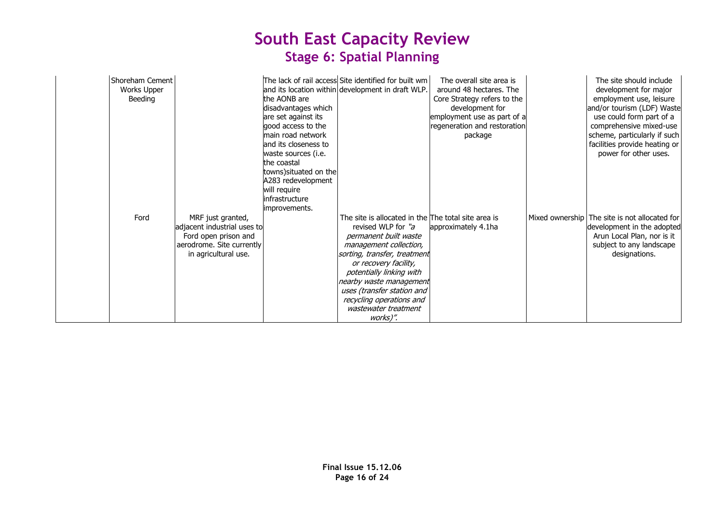| Shoreham Cement<br>Works Upper<br>Beeding |                                                                                                                               | the AONB are<br>disadvantages which<br>are set against its<br>good access to the<br>main road network<br>land its closeness to<br>waste sources (i.e.<br>the coastal<br>towns) situated on the<br>A283 redevelopment<br>will require<br>infrastructure<br>improvements. | The lack of rail access Site identified for built wm<br>and its location within development in draft WLP.                                                                                                                                                                                                                                  | The overall site area is<br>around 48 hectares. The<br>Core Strategy refers to the<br>development for<br>employment use as part of a<br>regeneration and restoration<br>package | The site should include<br>development for major<br>employment use, leisure<br>and/or tourism (LDF) Waste<br>use could form part of a<br>comprehensive mixed-use<br>scheme, particularly if such<br>facilities provide heating or<br>power for other uses. |
|-------------------------------------------|-------------------------------------------------------------------------------------------------------------------------------|-------------------------------------------------------------------------------------------------------------------------------------------------------------------------------------------------------------------------------------------------------------------------|--------------------------------------------------------------------------------------------------------------------------------------------------------------------------------------------------------------------------------------------------------------------------------------------------------------------------------------------|---------------------------------------------------------------------------------------------------------------------------------------------------------------------------------|------------------------------------------------------------------------------------------------------------------------------------------------------------------------------------------------------------------------------------------------------------|
| Ford                                      | MRF just granted,<br>adjacent industrial uses to<br>Ford open prison and<br>aerodrome. Site currently<br>in agricultural use. |                                                                                                                                                                                                                                                                         | The site is allocated in the The total site area is<br>revised WLP for "a<br>permanent built waste<br>management collection,<br>sorting, transfer, treatment<br>or recovery facility,<br>potentially linking with<br>nearby waste management<br>uses (transfer station and<br>recycling operations and<br>wastewater treatment<br>works)". | approximately 4.1ha                                                                                                                                                             | Mixed ownership The site is not allocated for<br>development in the adopted<br>Arun Local Plan, nor is it<br>subject to any landscape<br>designations.                                                                                                     |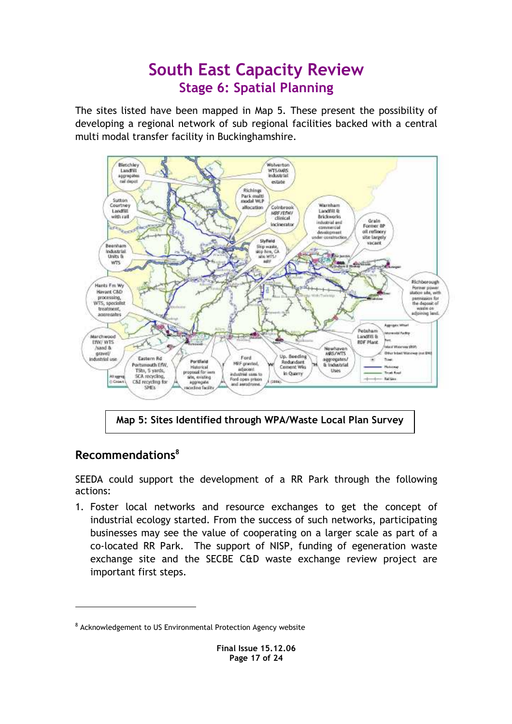The sites listed have been mapped in Map 5. These present the possibility of developing a regional network of sub regional facilities backed with a central multi modal transfer facility in Buckinghamshire.



## Recommendations<sup>8</sup>

 $\overline{a}$ 

SEEDA could support the development of a RR Park through the following actions:

1. Foster local networks and resource exchanges to get the concept of industrial ecology started. From the success of such networks, participating businesses may see the value of cooperating on a larger scale as part of a co-located RR Park. The support of NISP, funding of egeneration waste exchange site and the SECBE C&D waste exchange review project are important first steps.

<sup>&</sup>lt;sup>8</sup> Acknowledgement to US Environmental Protection Agency website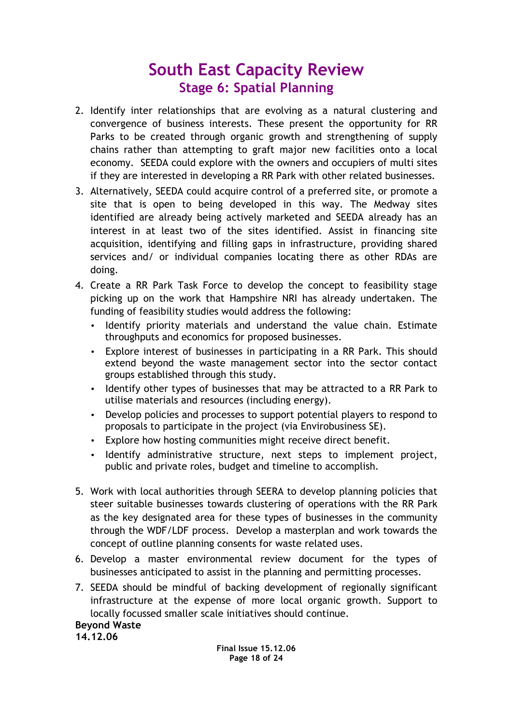- 2. Identify inter relationships that are evolving as a natural clustering and convergence of business interests. These present the opportunity for RR Parks to be created through organic growth and strengthening of supply chains rather than attempting to graft major new facilities onto a local economy. SEEDA could explore with the owners and occupiers of multi sites if they are interested in developing a RR Park with other related businesses.
- 3. Alternatively, SEEDA could acquire control of a preferred site, or promote a site that is open to being developed in this way. The Medway sites identified are already being actively marketed and SEEDA already has an interest in at least two of the sites identified. Assist in financing site acquisition, identifying and filling gaps in infrastructure, providing shared services and/ or individual companies locating there as other RDAs are doing.
- 4. Create a RR Park Task Force to develop the concept to feasibility stage picking up on the work that Hampshire NRI has already undertaken. The funding of feasibility studies would address the following:
	- Identify priority materials and understand the value chain. Estimate throughputs and economics for proposed businesses.
	- Explore interest of businesses in participating in a RR Park. This should extend beyond the waste management sector into the sector contact groups established through this study.
	- Identify other types of businesses that may be attracted to a RR Park to utilise materials and resources (including energy).
	- Develop policies and processes to support potential players to respond to proposals to participate in the project (via Envirobusiness SE).
	- Explore how hosting communities might receive direct benefit.
	- Identify administrative structure, next steps to implement project, public and private roles, budget and timeline to accomplish.
- 5. Work with local authorities through SEERA to develop planning policies that steer suitable businesses towards clustering of operations with the RR Park as the key designated area for these types of businesses in the community through the WDF/LDF process. Develop a masterplan and work towards the concept of outline planning consents for waste related uses.
- 6. Develop a master environmental review document for the types of businesses anticipated to assist in the planning and permitting processes.
- 7. SEEDA should be mindful of backing development of regionally significant infrastructure at the expense of more local organic growth. Support to locally focussed smaller scale initiatives should continue.

### Beyond Waste

14.12.06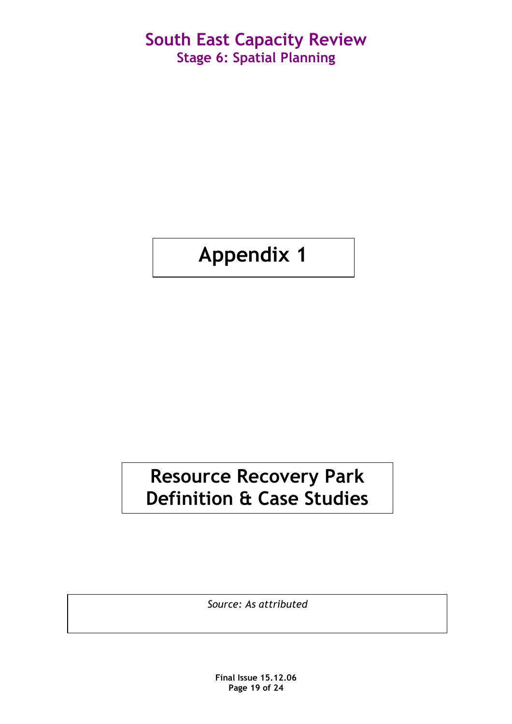# Appendix 1

# Resource Recovery Park Definition & Case Studies

Source: As attributed

Final Issue 15.12.06 Page 19 of 24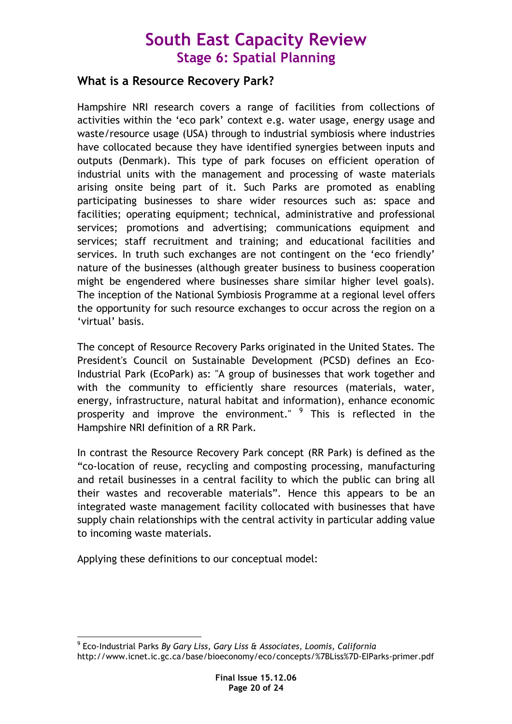## What is a Resource Recovery Park?

Hampshire NRI research covers a range of facilities from collections of activities within the 'eco park' context e.g. water usage, energy usage and waste/resource usage (USA) through to industrial symbiosis where industries have collocated because they have identified synergies between inputs and outputs (Denmark). This type of park focuses on efficient operation of industrial units with the management and processing of waste materials arising onsite being part of it. Such Parks are promoted as enabling participating businesses to share wider resources such as: space and facilities; operating equipment; technical, administrative and professional services; promotions and advertising; communications equipment and services; staff recruitment and training; and educational facilities and services. In truth such exchanges are not contingent on the 'eco friendly' nature of the businesses (although greater business to business cooperation might be engendered where businesses share similar higher level goals). The inception of the National Symbiosis Programme at a regional level offers the opportunity for such resource exchanges to occur across the region on a 'virtual' basis.

The concept of Resource Recovery Parks originated in the United States. The President's Council on Sustainable Development (PCSD) defines an Eco-Industrial Park (EcoPark) as: "A group of businesses that work together and with the community to efficiently share resources (materials, water, energy, infrastructure, natural habitat and information), enhance economic prosperity and improve the environment." <sup>9</sup> This is reflected in the Hampshire NRI definition of a RR Park.

In contrast the Resource Recovery Park concept (RR Park) is defined as the "co-location of reuse, recycling and composting processing, manufacturing and retail businesses in a central facility to which the public can bring all their wastes and recoverable materials". Hence this appears to be an integrated waste management facility collocated with businesses that have supply chain relationships with the central activity in particular adding value to incoming waste materials.

Applying these definitions to our conceptual model:

 9 Eco-Industrial Parks By Gary Liss, Gary Liss & Associates, Loomis, California http://www.icnet.ic.gc.ca/base/bioeconomy/eco/concepts/%7BLiss%7D-EIParks-primer.pdf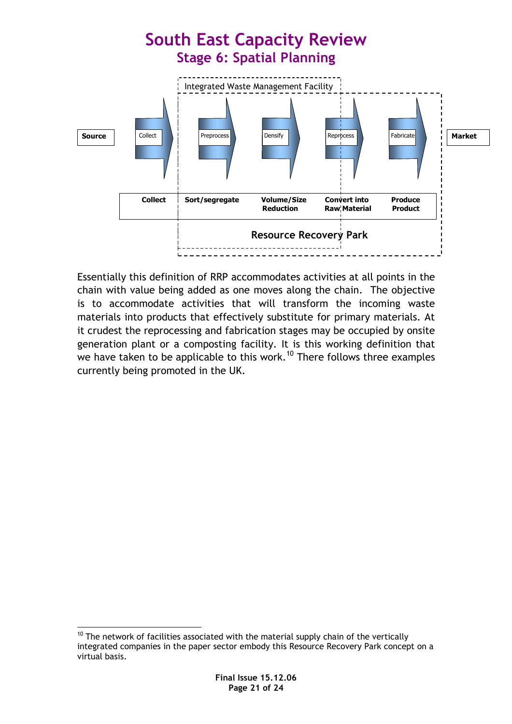

Essentially this definition of RRP accommodates activities at all points in the chain with value being added as one moves along the chain. The objective is to accommodate activities that will transform the incoming waste materials into products that effectively substitute for primary materials. At it crudest the reprocessing and fabrication stages may be occupied by onsite generation plant or a composting facility. It is this working definition that we have taken to be applicable to this work.<sup>10</sup> There follows three examples currently being promoted in the UK.

 $\overline{a}$  $10$  The network of facilities associated with the material supply chain of the vertically integrated companies in the paper sector embody this Resource Recovery Park concept on a virtual basis.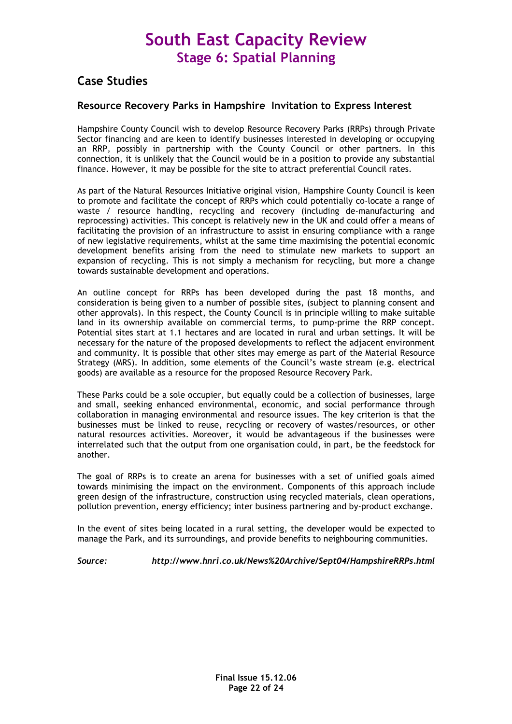### Case Studies

### Resource Recovery Parks in Hampshire Invitation to Express Interest

Hampshire County Council wish to develop Resource Recovery Parks (RRPs) through Private Sector financing and are keen to identify businesses interested in developing or occupying an RRP, possibly in partnership with the County Council or other partners. In this connection, it is unlikely that the Council would be in a position to provide any substantial finance. However, it may be possible for the site to attract preferential Council rates.

As part of the Natural Resources Initiative original vision, Hampshire County Council is keen to promote and facilitate the concept of RRPs which could potentially co-locate a range of waste / resource handling, recycling and recovery (including de-manufacturing and reprocessing) activities. This concept is relatively new in the UK and could offer a means of facilitating the provision of an infrastructure to assist in ensuring compliance with a range of new legislative requirements, whilst at the same time maximising the potential economic development benefits arising from the need to stimulate new markets to support an expansion of recycling. This is not simply a mechanism for recycling, but more a change towards sustainable development and operations.

An outline concept for RRPs has been developed during the past 18 months, and consideration is being given to a number of possible sites, (subject to planning consent and other approvals). In this respect, the County Council is in principle willing to make suitable land in its ownership available on commercial terms, to pump-prime the RRP concept. Potential sites start at 1.1 hectares and are located in rural and urban settings. It will be necessary for the nature of the proposed developments to reflect the adjacent environment and community. It is possible that other sites may emerge as part of the Material Resource Strategy (MRS). In addition, some elements of the Council's waste stream (e.g. electrical goods) are available as a resource for the proposed Resource Recovery Park.

These Parks could be a sole occupier, but equally could be a collection of businesses, large and small, seeking enhanced environmental, economic, and social performance through collaboration in managing environmental and resource issues. The key criterion is that the businesses must be linked to reuse, recycling or recovery of wastes/resources, or other natural resources activities. Moreover, it would be advantageous if the businesses were interrelated such that the output from one organisation could, in part, be the feedstock for another.

The goal of RRPs is to create an arena for businesses with a set of unified goals aimed towards minimising the impact on the environment. Components of this approach include green design of the infrastructure, construction using recycled materials, clean operations, pollution prevention, energy efficiency; inter business partnering and by-product exchange.

In the event of sites being located in a rural setting, the developer would be expected to manage the Park, and its surroundings, and provide benefits to neighbouring communities.

Source: http://www.hnri.co.uk/News%20Archive/Sept04/HampshireRRPs.html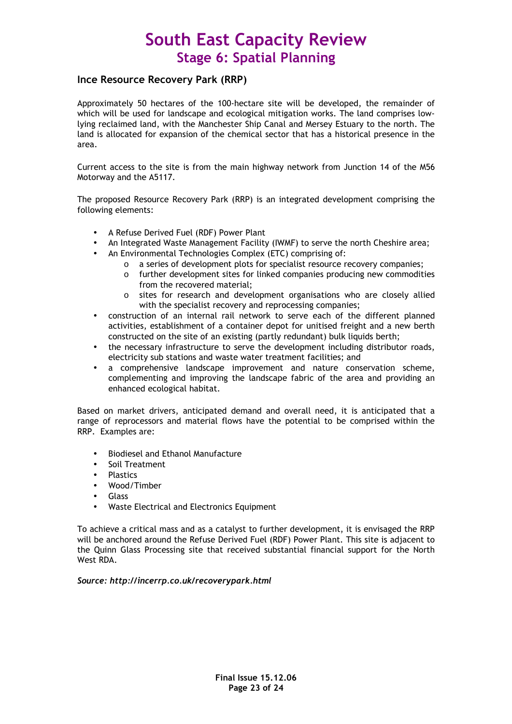### Ince Resource Recovery Park (RRP)

Approximately 50 hectares of the 100-hectare site will be developed, the remainder of which will be used for landscape and ecological mitigation works. The land comprises lowlying reclaimed land, with the Manchester Ship Canal and Mersey Estuary to the north. The land is allocated for expansion of the chemical sector that has a historical presence in the area.

Current access to the site is from the main highway network from Junction 14 of the M56 Motorway and the A5117.

The proposed Resource Recovery Park (RRP) is an integrated development comprising the following elements:

- A Refuse Derived Fuel (RDF) Power Plant
- An Integrated Waste Management Facility (IWMF) to serve the north Cheshire area;
- An Environmental Technologies Complex (ETC) comprising of:
	- o a series of development plots for specialist resource recovery companies;
		- o further development sites for linked companies producing new commodities from the recovered material;
		- o sites for research and development organisations who are closely allied with the specialist recovery and reprocessing companies;
- construction of an internal rail network to serve each of the different planned activities, establishment of a container depot for unitised freight and a new berth constructed on the site of an existing (partly redundant) bulk liquids berth;
- the necessary infrastructure to serve the development including distributor roads, electricity sub stations and waste water treatment facilities; and
- a comprehensive landscape improvement and nature conservation scheme, complementing and improving the landscape fabric of the area and providing an enhanced ecological habitat.

Based on market drivers, anticipated demand and overall need, it is anticipated that a range of reprocessors and material flows have the potential to be comprised within the RRP. Examples are:

- Biodiesel and Ethanol Manufacture
- Soil Treatment
- Plastics
- Wood/Timber
- Glass
- Waste Electrical and Electronics Equipment

To achieve a critical mass and as a catalyst to further development, it is envisaged the RRP will be anchored around the Refuse Derived Fuel (RDF) Power Plant. This site is adjacent to the Quinn Glass Processing site that received substantial financial support for the North West RDA.

Source: http://incerrp.co.uk/recoverypark.html